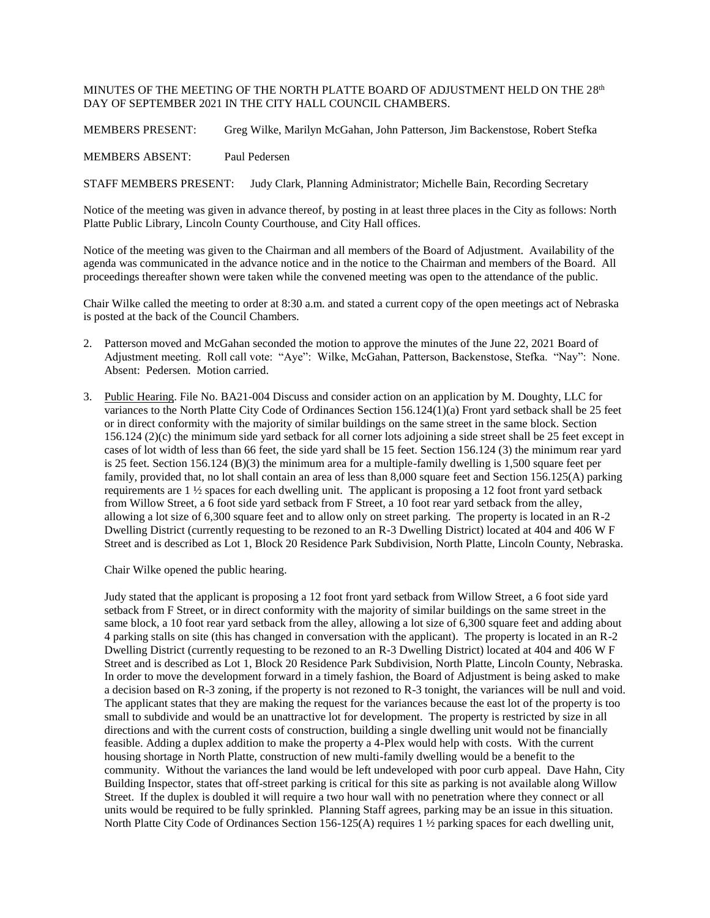## MINUTES OF THE MEETING OF THE NORTH PLATTE BOARD OF ADJUSTMENT HELD ON THE  $28^{\rm th}$ DAY OF SEPTEMBER 2021 IN THE CITY HALL COUNCIL CHAMBERS.

MEMBERS PRESENT: Greg Wilke, Marilyn McGahan, John Patterson, Jim Backenstose, Robert Stefka

MEMBERS ABSENT: Paul Pedersen

STAFF MEMBERS PRESENT: Judy Clark, Planning Administrator; Michelle Bain, Recording Secretary

Notice of the meeting was given in advance thereof, by posting in at least three places in the City as follows: North Platte Public Library, Lincoln County Courthouse, and City Hall offices.

Notice of the meeting was given to the Chairman and all members of the Board of Adjustment. Availability of the agenda was communicated in the advance notice and in the notice to the Chairman and members of the Board. All proceedings thereafter shown were taken while the convened meeting was open to the attendance of the public.

Chair Wilke called the meeting to order at 8:30 a.m. and stated a current copy of the open meetings act of Nebraska is posted at the back of the Council Chambers.

- 2. Patterson moved and McGahan seconded the motion to approve the minutes of the June 22, 2021 Board of Adjustment meeting. Roll call vote: "Aye": Wilke, McGahan, Patterson, Backenstose, Stefka. "Nay": None. Absent: Pedersen. Motion carried.
- 3. Public Hearing. File No. BA21-004 Discuss and consider action on an application by M. Doughty, LLC for variances to the North Platte City Code of Ordinances Section  $156.124(\overline{1})(a)$  Front yard setback shall be 25 feet or in direct conformity with the majority of similar buildings on the same street in the same block. Section 156.124 (2)(c) the minimum side yard setback for all corner lots adjoining a side street shall be 25 feet except in cases of lot width of less than 66 feet, the side yard shall be 15 feet. Section 156.124 (3) the minimum rear yard is 25 feet. Section 156.124 (B)(3) the minimum area for a multiple-family dwelling is 1,500 square feet per family, provided that, no lot shall contain an area of less than 8,000 square feet and Section 156.125(A) parking requirements are 1 ½ spaces for each dwelling unit. The applicant is proposing a 12 foot front yard setback from Willow Street, a 6 foot side yard setback from F Street, a 10 foot rear yard setback from the alley, allowing a lot size of 6,300 square feet and to allow only on street parking. The property is located in an R-2 Dwelling District (currently requesting to be rezoned to an R-3 Dwelling District) located at 404 and 406 W F Street and is described as Lot 1, Block 20 Residence Park Subdivision, North Platte, Lincoln County, Nebraska.

Chair Wilke opened the public hearing.

Judy stated that the applicant is proposing a 12 foot front yard setback from Willow Street, a 6 foot side yard setback from F Street, or in direct conformity with the majority of similar buildings on the same street in the same block, a 10 foot rear yard setback from the alley, allowing a lot size of 6,300 square feet and adding about 4 parking stalls on site (this has changed in conversation with the applicant). The property is located in an R-2 Dwelling District (currently requesting to be rezoned to an R-3 Dwelling District) located at 404 and 406 W F Street and is described as Lot 1, Block 20 Residence Park Subdivision, North Platte, Lincoln County, Nebraska. In order to move the development forward in a timely fashion, the Board of Adjustment is being asked to make a decision based on R-3 zoning, if the property is not rezoned to R-3 tonight, the variances will be null and void. The applicant states that they are making the request for the variances because the east lot of the property is too small to subdivide and would be an unattractive lot for development. The property is restricted by size in all directions and with the current costs of construction, building a single dwelling unit would not be financially feasible. Adding a duplex addition to make the property a 4-Plex would help with costs. With the current housing shortage in North Platte, construction of new multi-family dwelling would be a benefit to the community. Without the variances the land would be left undeveloped with poor curb appeal. Dave Hahn, City Building Inspector, states that off-street parking is critical for this site as parking is not available along Willow Street. If the duplex is doubled it will require a two hour wall with no penetration where they connect or all units would be required to be fully sprinkled. Planning Staff agrees, parking may be an issue in this situation. North Platte City Code of Ordinances Section 156-125(A) requires 1 ½ parking spaces for each dwelling unit,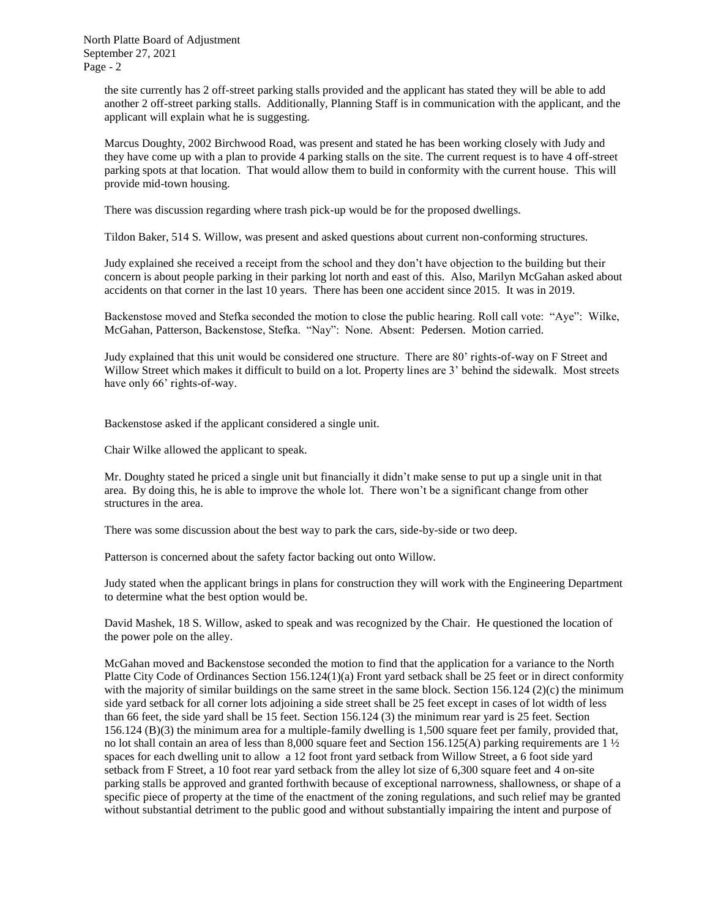North Platte Board of Adjustment September 27, 2021 Page - 2

> the site currently has 2 off-street parking stalls provided and the applicant has stated they will be able to add another 2 off-street parking stalls. Additionally, Planning Staff is in communication with the applicant, and the applicant will explain what he is suggesting.

> Marcus Doughty, 2002 Birchwood Road, was present and stated he has been working closely with Judy and they have come up with a plan to provide 4 parking stalls on the site. The current request is to have 4 off-street parking spots at that location. That would allow them to build in conformity with the current house. This will provide mid-town housing.

There was discussion regarding where trash pick-up would be for the proposed dwellings.

Tildon Baker, 514 S. Willow, was present and asked questions about current non-conforming structures.

Judy explained she received a receipt from the school and they don't have objection to the building but their concern is about people parking in their parking lot north and east of this. Also, Marilyn McGahan asked about accidents on that corner in the last 10 years. There has been one accident since 2015. It was in 2019.

Backenstose moved and Stefka seconded the motion to close the public hearing. Roll call vote: "Aye": Wilke, McGahan, Patterson, Backenstose, Stefka. "Nay": None. Absent: Pedersen. Motion carried.

Judy explained that this unit would be considered one structure. There are 80' rights-of-way on F Street and Willow Street which makes it difficult to build on a lot. Property lines are 3' behind the sidewalk. Most streets have only 66' rights-of-way.

Backenstose asked if the applicant considered a single unit.

Chair Wilke allowed the applicant to speak.

Mr. Doughty stated he priced a single unit but financially it didn't make sense to put up a single unit in that area. By doing this, he is able to improve the whole lot. There won't be a significant change from other structures in the area.

There was some discussion about the best way to park the cars, side-by-side or two deep.

Patterson is concerned about the safety factor backing out onto Willow.

Judy stated when the applicant brings in plans for construction they will work with the Engineering Department to determine what the best option would be.

David Mashek, 18 S. Willow, asked to speak and was recognized by the Chair. He questioned the location of the power pole on the alley.

McGahan moved and Backenstose seconded the motion to find that the application for a variance to the North Platte City Code of Ordinances Section 156.124(1)(a) Front yard setback shall be 25 feet or in direct conformity with the majority of similar buildings on the same street in the same block. Section 156.124 (2)(c) the minimum side yard setback for all corner lots adjoining a side street shall be 25 feet except in cases of lot width of less than 66 feet, the side yard shall be 15 feet. Section 156.124 (3) the minimum rear yard is 25 feet. Section 156.124 (B)(3) the minimum area for a multiple-family dwelling is 1,500 square feet per family, provided that, no lot shall contain an area of less than 8,000 square feet and Section 156.125(A) parking requirements are  $1\frac{1}{2}$ spaces for each dwelling unit to allow a 12 foot front yard setback from Willow Street, a 6 foot side yard setback from F Street, a 10 foot rear yard setback from the alley lot size of 6,300 square feet and 4 on-site parking stalls be approved and granted forthwith because of exceptional narrowness, shallowness, or shape of a specific piece of property at the time of the enactment of the zoning regulations, and such relief may be granted without substantial detriment to the public good and without substantially impairing the intent and purpose of